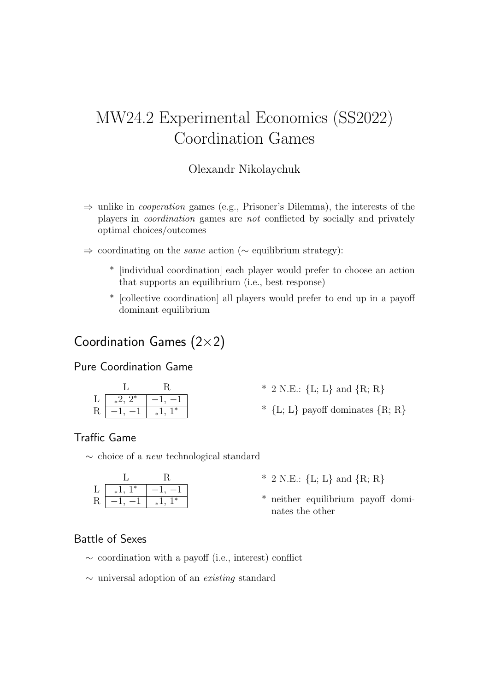# MW24.2 Experimental Economics (SS2022) Coordination Games

### Olexandr Nikolaychuk

- $\Rightarrow$  unlike in *cooperation* games (e.g., Prisoner's Dilemma), the interests of the players in coordination games are not conflicted by socially and privately optimal choices/outcomes
- ⇒ coordinating on the same action (∼ equilibrium strategy):
	- \* [individual coordination] each player would prefer to choose an action that supports an equilibrium (i.e., best response)
	- \* [collective coordination] all players would prefer to end up in a payoff dominant equilibrium

# Coordination Games (2×2)

### Pure Coordination Game

|   | $*^2$ , $2^*$ |       |
|---|---------------|-------|
| R |               | $1^*$ |

- $*$  2 N.E.: {L; L} and {R; R}
- $*$  {L; L} payoff dominates  ${R; R}$ }

## Traffic Game

∼ choice of a new technological standard

|    | $\ast$<br>$\ast$ |        |
|----|------------------|--------|
| ıι |                  | $\ast$ |

- $*$  2 N.E.: {L; L} and {R; R}
- \* neither equilibrium payoff dominates the other

### Battle of Sexes

- ∼ coordination with a payoff (i.e., interest) conflict
- ∼ universal adoption of an existing standard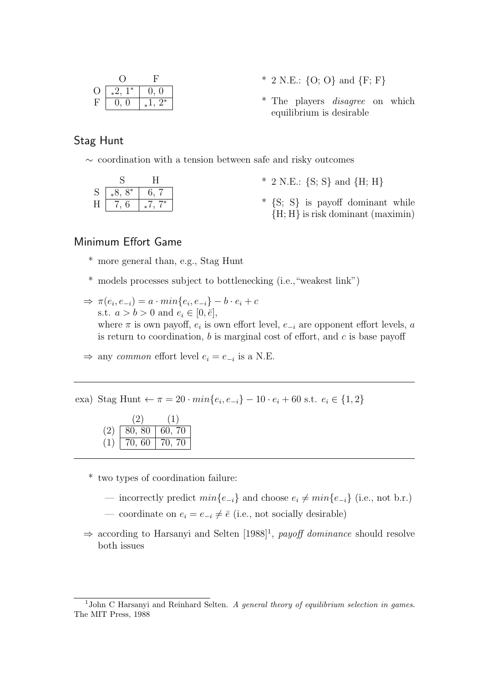|                            | * 2 N.E.: $\{O; O\}$ and $\{F; F\}$    |
|----------------------------|----------------------------------------|
| $O \mid *2, 1^* \mid 0, 0$ |                                        |
| $F   0, 0  _*1, 2^*  $     | * The players <i>disagree</i> on which |
|                            | equilibrium is desirable               |

#### Stag Hunt

∼ coordination with a tension between safe and risky outcomes

| S | $8^*$<br>ած |      |
|---|-------------|------|
|   |             | $7*$ |

- $*$  2 N.E.:  $\{S; S\}$  and  $\{H; H\}$
- $*$  {S; S} is payoff dominant while  ${H: H}$  is risk dominant (maximin)

#### Minimum Effort Game

- \* more general than, e.g., Stag Hunt
- \* models processes subject to bottlenecking (i.e.,"weakest link")
- $\Rightarrow \pi(e_i, e_{-i}) = a \cdot min\{e_i, e_{-i}\} b \cdot e_i + c$ s.t.  $a > b > 0$  and  $e_i \in [0, \bar{e}],$ where  $\pi$  is own payoff,  $e_i$  is own effort level,  $e_{-i}$  are opponent effort levels, a is return to coordination,  $b$  is marginal cost of effort, and  $c$  is base payoff

 $\Rightarrow$  any *common* effort level  $e_i = e_{-i}$  is a N.E.

exa) Stag Hunt  $\leftarrow \pi = 20 \cdot min\{e_i, e_{-i}\} - 10 \cdot e_i + 60 \text{ s.t. } e_i \in \{1, 2\}$ 

|     | (2)    |            |
|-----|--------|------------|
| (2) | 80, 80 | 60, 70     |
|     | 70,60  | -70<br>70. |

\* two types of coordination failure:

- incorrectly predict  $min\{e_{-i}\}\$ and choose  $e_i \neq min\{e_{-i}\}\$  (i.e., not b.r.)
- coordinate on  $e_i = e_{-i} \neq \overline{e}$  (i.e., not socially desirable)
- $\Rightarrow$  according to Harsanyi and Selten [1988]<sup>1</sup>, payoff dominance should resolve both issues

<sup>&</sup>lt;sup>1</sup>John C Harsanyi and Reinhard Selten. A general theory of equilibrium selection in games. The MIT Press, 1988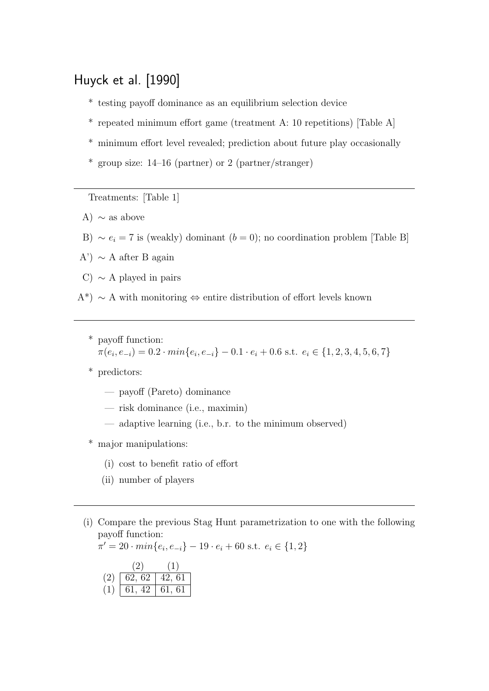# Huyck et al. [1990]

- \* testing payoff dominance as an equilibrium selection device
- \* repeated minimum effort game (treatment A: 10 repetitions) [Table A]
- \* minimum effort level revealed; prediction about future play occasionally
- \* group size: 14–16 (partner) or 2 (partner/stranger)

Treatments: [Table 1]

- A)  $\sim$  as above
- B)  $\sim e_i = 7$  is (weakly) dominant ( $b = 0$ ); no coordination problem [Table B]
- A')  $\sim$  A after B again
- C)  $\sim$  A played in pairs
- A<sup>\*</sup>) ∼ A with monitoring ⇔ entire distribution of effort levels known
	- \* payoff function:  $\pi(e_i, e_{-i}) = 0.2 \cdot min\{e_i, e_{-i}\} - 0.1 \cdot e_i + 0.6 \text{ s.t. } e_i \in \{1, 2, 3, 4, 5, 6, 7\}$
	- \* predictors:
		- payoff (Pareto) dominance
		- risk dominance (i.e., maximin)
		- adaptive learning (i.e., b.r. to the minimum observed)
	- \* major manipulations:
		- (i) cost to benefit ratio of effort
		- (ii) number of players
	- (i) Compare the previous Stag Hunt parametrization to one with the following payoff function:

$$
\pi' = 20 \cdot \min\{e_i, e_{-i}\} - 19 \cdot e_i + 60 \text{ s.t. } e_i \in \{1, 2\}
$$

$$
\frac{(2)}{(2) \ \boxed{62, 62} \ \boxed{42, 61}}
$$

- $\overline{61, 42}$  61, 61
	-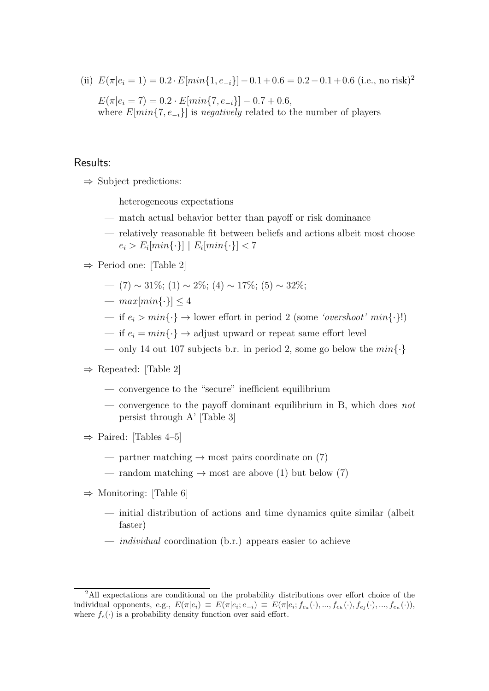(ii)  $E(\pi|e_i = 1) = 0.2 \cdot E[\min\{1, e_{-i}\}] - 0.1 + 0.6 = 0.2 - 0.1 + 0.6$  (i.e., no risk)<sup>2</sup>  $E(\pi|e_i = 7) = 0.2 \cdot E[\min\{7, e_{-i}\}] - 0.7 + 0.6,$ where  $E[\min\{7, e_{-i}\}]$  is negatively related to the number of players

#### Results:

- $\Rightarrow$  Subject predictions:
	- heterogeneous expectations
	- match actual behavior better than payoff or risk dominance
	- relatively reasonable fit between beliefs and actions albeit most choose  $e_i > E_i[min\{\cdot\}] \mid E_i[min\{\cdot\}] < 7$

#### ⇒ Period one: [Table 2]

- (7) ~ 31\%; (1) ~ 2\%; (4) ~ 17\%; (5) ~ 32\%;
- $max[\min\{\cdot\}] < 4$
- if  $e_i > min\{\cdot\} \rightarrow$  lower effort in period 2 (some 'overshoot' min $\{\cdot\}$ !)
- if  $e_i = min\{\cdot\} \rightarrow$  adjust upward or repeat same effort level
- only 14 out 107 subjects b.r. in period 2, some go below the  $min\{\cdot\}$
- $\Rightarrow$  Repeated: [Table 2]
	- convergence to the "secure" inefficient equilibrium
	- convergence to the payoff dominant equilibrium in B, which does not persist through A' [Table 3]
- $\Rightarrow$  Paired: [Tables 4–5]
	- partner matching  $\rightarrow$  most pairs coordinate on (7)
	- random matching  $\rightarrow$  most are above (1) but below (7)
- $\Rightarrow$  Monitoring: [Table 6]
	- initial distribution of actions and time dynamics quite similar (albeit faster)
	- *individual* coordination  $(b.r.)$  appears easier to achieve

<sup>2</sup>All expectations are conditional on the probability distributions over effort choice of the individual opponents, e.g.,  $E(\pi|e_i) \equiv E(\pi|e_i; e_{-i}) \equiv E(\pi|e_i; f_{e_a}(\cdot), ..., f_{e_h}(\cdot), f_{e_j}(\cdot), ..., f_{e_n}(\cdot)),$ where  $f_e(\cdot)$  is a probability density function over said effort.